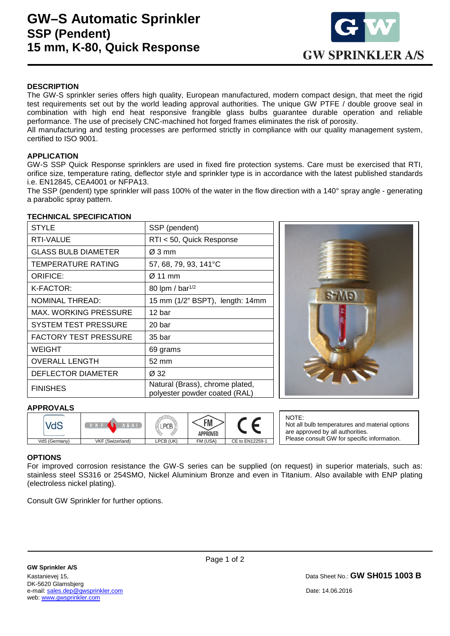

# **DESCRIPTION**

The GW-S sprinkler series offers high quality, European manufactured, modern compact design, that meet the rigid test requirements set out by the world leading approval authorities. The unique GW PTFE / double groove seal in combination with high end heat responsive frangible glass bulbs guarantee durable operation and reliable performance. The use of precisely CNC-machined hot forged frames eliminates the risk of porosity.

All manufacturing and testing processes are performed strictly in compliance with our quality management system, certified to ISO 9001.

### **APPLICATION**

GW-S SSP Quick Response sprinklers are used in fixed fire protection systems. Care must be exercised that RTI, orifice size, temperature rating, deflector style and sprinkler type is in accordance with the latest published standards i.e. EN12845, CEA4001 or NFPA13.

The SSP (pendent) type sprinkler will pass 100% of the water in the flow direction with a 140° spray angle - generating a parabolic spray pattern.

#### **TECHNICAL SPECIFICATION**

| <b>STYLE</b>                 | SSP (pendent)                                                    |  |  |
|------------------------------|------------------------------------------------------------------|--|--|
| <b>RTI-VALUE</b>             | RTI < 50, Quick Response                                         |  |  |
| <b>GLASS BULB DIAMETER</b>   | Ø 3 mm                                                           |  |  |
| TEMPERATURE RATING           | 57, 68, 79, 93, 141°C                                            |  |  |
| <b>ORIFICE:</b>              | Ø 11 mm                                                          |  |  |
| K-FACTOR:                    | 80 lpm / bar <sup>1/2</sup>                                      |  |  |
| <b>NOMINAL THREAD:</b>       | 15 mm (1/2" BSPT), length: 14mm                                  |  |  |
| MAX. WORKING PRESSURE        | 12 bar                                                           |  |  |
| SYSTEM TEST PRESSURE         | 20 bar                                                           |  |  |
| <b>FACTORY TEST PRESSURE</b> | 35 bar                                                           |  |  |
| WEIGHT                       | 69 grams                                                         |  |  |
| <b>OVERALL LENGTH</b>        | 52 mm                                                            |  |  |
| DEFLECTOR DIAMETER           | Ø 32                                                             |  |  |
| <b>FINISHES</b>              | Natural (Brass), chrome plated,<br>polyester powder coated (RAL) |  |  |



#### **APPROVALS**

|               | A E A M          |           | ГM.<br><br>APPROVED |                 |
|---------------|------------------|-----------|---------------------|-----------------|
| VdS (Germany) | VKF (Swizerland) | LPCB (UK) | FM (USA)            | CE to EN12259-1 |

NOTE: Not all bulb temperatures and material options are approved by all authorities. Please consult GW for specific information.

# **OPTIONS**

l,

For improved corrosion resistance the GW-S series can be supplied (on request) in superior materials, such as: stainless steel SS316 or 254SMO, Nickel Aluminium Bronze and even in Titanium. Also available with ENP plating (electroless nickel plating).

Consult GW Sprinkler for further options.